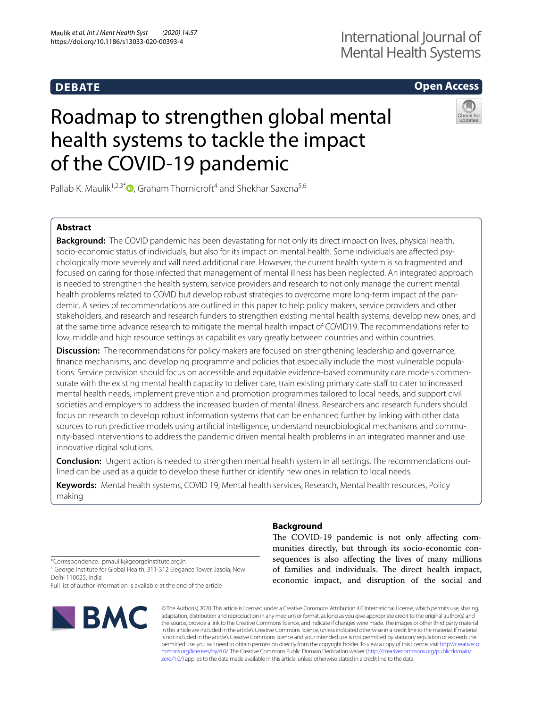# **DEBATE**

# International Journal of Mental Health Systems

# **Open Access**

# Roadmap to strengthen global mental health systems to tackle the impact of the COVID-19 pandemic



Pallab K. Maulik<sup>1,2,3\*</sup><sup>1</sup>[,](http://orcid.org/0000-0001-6835-6175) Graham Thornicroft<sup>4</sup> and Shekhar Saxena<sup>5,6</sup>

# **Abstract**

**Background:** The COVID pandemic has been devastating for not only its direct impact on lives, physical health, socio-economic status of individuals, but also for its impact on mental health. Some individuals are afected psychologically more severely and will need additional care. However, the current health system is so fragmented and focused on caring for those infected that management of mental illness has been neglected. An integrated approach is needed to strengthen the health system, service providers and research to not only manage the current mental health problems related to COVID but develop robust strategies to overcome more long-term impact of the pandemic. A series of recommendations are outlined in this paper to help policy makers, service providers and other stakeholders, and research and research funders to strengthen existing mental health systems, develop new ones, and at the same time advance research to mitigate the mental health impact of COVID19. The recommendations refer to low, middle and high resource settings as capabilities vary greatly between countries and within countries.

**Discussion:** The recommendations for policy makers are focused on strengthening leadership and governance, fnance mechanisms, and developing programme and policies that especially include the most vulnerable populations. Service provision should focus on accessible and equitable evidence-based community care models commensurate with the existing mental health capacity to deliver care, train existing primary care staff to cater to increased mental health needs, implement prevention and promotion programmes tailored to local needs, and support civil societies and employers to address the increased burden of mental illness. Researchers and research funders should focus on research to develop robust information systems that can be enhanced further by linking with other data sources to run predictive models using artifcial intelligence, understand neurobiological mechanisms and community-based interventions to address the pandemic driven mental health problems in an integrated manner and use innovative digital solutions.

**Conclusion:** Urgent action is needed to strengthen mental health system in all settings. The recommendations outlined can be used as a guide to develop these further or identify new ones in relation to local needs.

**Keywords:** Mental health systems, COVID 19, Mental health services, Research, Mental health resources, Policy making

# **Background**

The COVID-19 pandemic is not only affecting communities directly, but through its socio-economic consequences is also afecting the lives of many millions of families and individuals. The direct health impact, economic impact, and disruption of the social and

\*Correspondence: pmaulik@georgeinstitute.org.in

<sup>1</sup> George Institute for Global Health, 311-312 Elegance Tower, Jasola, New Delhi 110025, India

Full list of author information is available at the end of the article



© The Author(s) 2020. This article is licensed under a Creative Commons Attribution 4.0 International License, which permits use, sharing, adaptation, distribution and reproduction in any medium or format, as long as you give appropriate credit to the original author(s) and the source, provide a link to the Creative Commons licence, and indicate if changes were made. The images or other third party material in this article are included in the article's Creative Commons licence, unless indicated otherwise in a credit line to the material. If material is not included in the article's Creative Commons licence and your intended use is not permitted by statutory regulation or exceeds the permitted use, you will need to obtain permission directly from the copyright holder. To view a copy of this licence, visit [http://creativeco](http://creativecommons.org/licenses/by/4.0/) [mmons.org/licenses/by/4.0/.](http://creativecommons.org/licenses/by/4.0/) The Creative Commons Public Domain Dedication waiver ([http://creativecommons.org/publicdomain/](http://creativecommons.org/publicdomain/zero/1.0/) [zero/1.0/\)](http://creativecommons.org/publicdomain/zero/1.0/) applies to the data made available in this article, unless otherwise stated in a credit line to the data.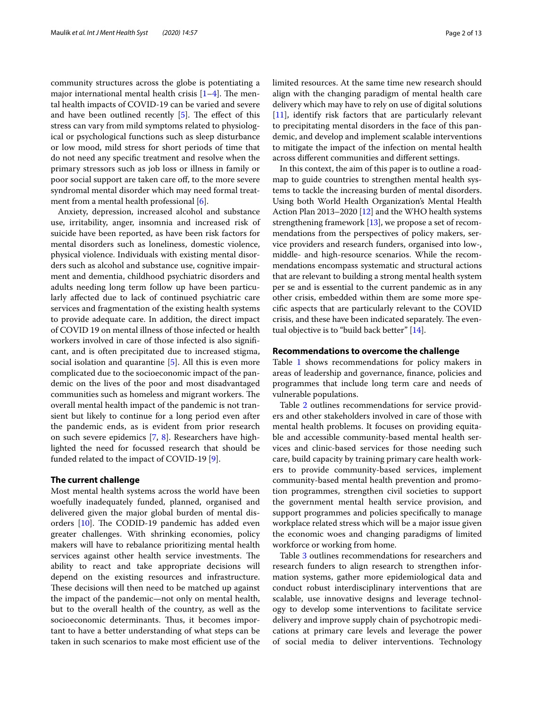community structures across the globe is potentiating a major international mental health crisis  $[1-4]$  $[1-4]$ . The mental health impacts of COVID-19 can be varied and severe and have been outlined recently  $[5]$  $[5]$ . The effect of this stress can vary from mild symptoms related to physiological or psychological functions such as sleep disturbance or low mood, mild stress for short periods of time that do not need any specifc treatment and resolve when the primary stressors such as job loss or illness in family or poor social support are taken care off, to the more severe syndromal mental disorder which may need formal treat-ment from a mental health professional [[6\]](#page-12-3).

Anxiety, depression, increased alcohol and substance use, irritability, anger, insomnia and increased risk of suicide have been reported, as have been risk factors for mental disorders such as loneliness, domestic violence, physical violence. Individuals with existing mental disorders such as alcohol and substance use, cognitive impairment and dementia, childhood psychiatric disorders and adults needing long term follow up have been particularly afected due to lack of continued psychiatric care services and fragmentation of the existing health systems to provide adequate care. In addition, the direct impact of COVID 19 on mental illness of those infected or health workers involved in care of those infected is also signifcant, and is often precipitated due to increased stigma, social isolation and quarantine [\[5](#page-12-2)]. All this is even more complicated due to the socioeconomic impact of the pandemic on the lives of the poor and most disadvantaged communities such as homeless and migrant workers. The overall mental health impact of the pandemic is not transient but likely to continue for a long period even after the pandemic ends, as is evident from prior research on such severe epidemics [[7,](#page-12-4) [8](#page-12-5)]. Researchers have highlighted the need for focussed research that should be funded related to the impact of COVID-19 [\[9](#page-12-6)].

#### **The current challenge**

Most mental health systems across the world have been woefully inadequately funded, planned, organised and delivered given the major global burden of mental disorders  $[10]$  $[10]$ . The CODID-19 pandemic has added even greater challenges. With shrinking economies, policy makers will have to rebalance prioritizing mental health services against other health service investments. The ability to react and take appropriate decisions will depend on the existing resources and infrastructure. These decisions will then need to be matched up against the impact of the pandemic—not only on mental health, but to the overall health of the country, as well as the socioeconomic determinants. Thus, it becomes important to have a better understanding of what steps can be taken in such scenarios to make most efficient use of the limited resources. At the same time new research should align with the changing paradigm of mental health care delivery which may have to rely on use of digital solutions [[11\]](#page-12-8), identify risk factors that are particularly relevant to precipitating mental disorders in the face of this pandemic, and develop and implement scalable interventions to mitigate the impact of the infection on mental health across diferent communities and diferent settings.

In this context, the aim of this paper is to outline a roadmap to guide countries to strengthen mental health systems to tackle the increasing burden of mental disorders. Using both World Health Organization's Mental Health Action Plan 2013–2020 [[12](#page-12-9)] and the WHO health systems strengthening framework [[13\]](#page-12-10), we propose a set of recommendations from the perspectives of policy makers, service providers and research funders, organised into low-, middle- and high-resource scenarios. While the recommendations encompass systematic and structural actions that are relevant to building a strong mental health system per se and is essential to the current pandemic as in any other crisis, embedded within them are some more specifc aspects that are particularly relevant to the COVID crisis, and these have been indicated separately. The eventual objective is to "build back better" [\[14\]](#page-12-11).

### **Recommendations to overcome the challenge**

Table [1](#page-2-0) shows recommendations for policy makers in areas of leadership and governance, fnance, policies and programmes that include long term care and needs of vulnerable populations.

Table [2](#page-4-0) outlines recommendations for service providers and other stakeholders involved in care of those with mental health problems. It focuses on providing equitable and accessible community-based mental health services and clinic-based services for those needing such care, build capacity by training primary care health workers to provide community-based services, implement community-based mental health prevention and promotion programmes, strengthen civil societies to support the government mental health service provision, and support programmes and policies specifcally to manage workplace related stress which will be a major issue given the economic woes and changing paradigms of limited workforce or working from home.

Table [3](#page-8-0) outlines recommendations for researchers and research funders to align research to strengthen information systems, gather more epidemiological data and conduct robust interdisciplinary interventions that are scalable, use innovative designs and leverage technology to develop some interventions to facilitate service delivery and improve supply chain of psychotropic medications at primary care levels and leverage the power of social media to deliver interventions. Technology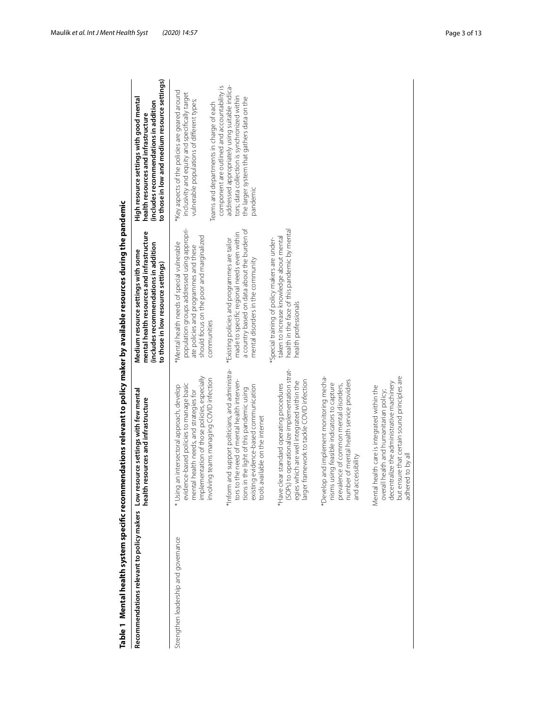|                                                                                 |                                                                                                                                                                                                                              | Table 1 Mental health system specific recommendations relevant to policy maker by available resources during the pandemic                                                                      |                                                                                                                                                                                                          |
|---------------------------------------------------------------------------------|------------------------------------------------------------------------------------------------------------------------------------------------------------------------------------------------------------------------------|------------------------------------------------------------------------------------------------------------------------------------------------------------------------------------------------|----------------------------------------------------------------------------------------------------------------------------------------------------------------------------------------------------------|
| Recommendations relevant to policy makers Low resource settings with few mental | health resources and infrastructure                                                                                                                                                                                          | mental health resources and infrastructure<br>(includes recommendations in addition<br>Medium resource settings with some<br>to those in low resource settings)                                | to those in low and medium resource settings)<br>High resource settings with good mental<br>(includes recommendations in addition<br>health resources and infrastructure                                 |
| Strengthen leadership and governance                                            | implementation of those policies, especially<br>involving teams managing COVID infection<br>evidence-based policies to manage basic<br>* Using an intersectoral approach, develop<br>mental health needs, and strategies for | population groups addressed using appropri-<br>should focus on the poor and marginalized<br>*Mental health needs of special vulnerable<br>ate policies and programmes and these<br>communities | *Key aspects of the policies are geared around<br>inclusivity and equity and specifically target<br>vulnerable populations of different types;<br>Teams and departments in charge of each                |
|                                                                                 | *Inform and support politicians, and administra-<br>tors to the need of mental health interven-<br>evidence-based communication<br>tions in the light of this pandemic using<br>tools available on the internet<br>existing  | a country based on data about the burden of<br>made to specific regional needs even within<br>*Existing policies and programmes are tailor<br>mental disorders in the community                | component are outlined and accountability is<br>addressed appropriately using suitable indica-<br>tors; data collection is synchronized within<br>the larger system that gathers data on the<br>pandemic |
|                                                                                 | (SOPs) to operationalize implementation strat-<br>ich are well integrated within the<br>larger framework to tackle COVID infection<br>*Have clear standard operating procedures<br>egies wh                                  | health in the face of this pandemic by mental<br>taken to increase knowledge about mental<br>*Special training of policy makers are under-<br>health professionals                             |                                                                                                                                                                                                          |
|                                                                                 | *Develop and implement monitoring mecha-<br>of mental health service providers<br>nisms using feasible indicators to capture<br>prevalence of common mental disorders,<br>and accessibility<br>number                        |                                                                                                                                                                                                |                                                                                                                                                                                                          |
|                                                                                 | but ensure that certain sound principles are<br>decentralize the administrative machinery<br>Mental health care is integrated within the<br>overall health and humanitarian policy;<br>lls vd ot<br>adhered                  |                                                                                                                                                                                                |                                                                                                                                                                                                          |
|                                                                                 |                                                                                                                                                                                                                              |                                                                                                                                                                                                |                                                                                                                                                                                                          |

<span id="page-2-0"></span>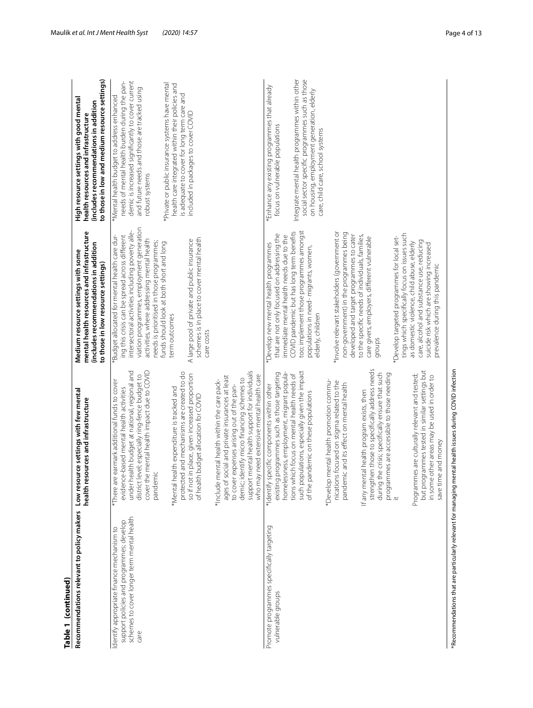| Table 1 (continued)                                                                                                                         |                                                                                                                                                                                                                                                                                         |                                                                                                                                                                                                                                                                                                                                        |                                                                                                                                                                                                                                                                       |
|---------------------------------------------------------------------------------------------------------------------------------------------|-----------------------------------------------------------------------------------------------------------------------------------------------------------------------------------------------------------------------------------------------------------------------------------------|----------------------------------------------------------------------------------------------------------------------------------------------------------------------------------------------------------------------------------------------------------------------------------------------------------------------------------------|-----------------------------------------------------------------------------------------------------------------------------------------------------------------------------------------------------------------------------------------------------------------------|
| Recommendations relevant to policy makers                                                                                                   | Low resource settings with few mental<br>health resources and infrastructure                                                                                                                                                                                                            | mental health resources and infrastructure<br>(includes recommendations in addition<br>Medium resource settings with some<br>to those in low resource settings)                                                                                                                                                                        | to those in low and medium resource settings)<br>High resource settings with good mental<br>(includes recommendations in addition<br>health resources and infrastructure                                                                                              |
| schemes to cover longer term mental health<br>support policies and programmes; develop<br>Identify appropriate finance mechanism to<br>care | cover the mental health impact due to COVID<br>under health budget at national, regional and<br>district level; especially ring-fence budget to<br>*There are earmark additional funds to cover<br>evidence-based mental health activities<br>pandemic                                  | viation programmes, employment generation<br>intersectoral activities including poverty alle-<br>Budget allocated for mental health care dur-<br>ing this crisis can be spread across different<br>activities, where addressing mental health<br>needs is prioritised in those programmes;<br>funds should look at both short and long | demic is increased significantly to cover current<br>needs of mental health burden during the pan-<br>*Private or public insurance systems have mental<br>and future needs and those are tracked using<br>*Mental health budget to address enhanced<br>robust systems |
|                                                                                                                                             | protected and mechanisms are created to do<br>so if not in place, given increased proportion<br>*Mental health expenditure is tracked and<br>of health budget allocation for COVID                                                                                                      | schemes is in place to cover mental health<br>A large pool of private and public insurance<br>term outcomes<br>care costs                                                                                                                                                                                                              | health care integrated within their policies and<br>is adequate to cover for long term care and<br>included in packages to cover COVID                                                                                                                                |
|                                                                                                                                             | support mental health support for individuals<br>who may need extensive mental health care<br>ages of social and private insurances at least<br>demic; identify micro financing schemes to<br>*Include mental health within the care pack-<br>to cover expenses arising out of the pan- |                                                                                                                                                                                                                                                                                                                                        |                                                                                                                                                                                                                                                                       |
| Promote programmes specifically targeting<br>vulnerable groups                                                                              | homelessness, employment, migrant popula-<br>existing programmes such as those targeting<br>*Identify specific components within other                                                                                                                                                  | that are not only focused on addressing the<br>immediate mental health needs due to the<br>*Develop new mental health programmes                                                                                                                                                                                                       | *Enhance any existing programmes that already<br>focus on vulnerable populations                                                                                                                                                                                      |
|                                                                                                                                             | such populations, especially given the impact<br>tions which focus on mental health needs of<br>of the pandemic on these populations                                                                                                                                                    | COVID pandemic but has long term benefits<br>too; implement those programmes amongst<br>populations in need-migrants, women,<br>elderly, children                                                                                                                                                                                      | Integrate mental health programmes within other<br>social sector specific programmes such as those<br>on housing, employment generation, elderly<br>care, child care, school systems                                                                                  |
|                                                                                                                                             | *Develop mental health promotion commu-<br>nications focused on stigma related to the<br>pandemic and its effect on mental health                                                                                                                                                       | *Involve relevant stakeholders (government or<br>non-government) in the programmes being<br>developed and target programmes to cater                                                                                                                                                                                                   |                                                                                                                                                                                                                                                                       |
|                                                                                                                                             | strengthen those to specifically address needs<br>during the crisis; specifically ensure that such<br>If any mental health program exists, then                                                                                                                                         | to the specific needs of individuals, families,<br>care givers, employers, different vulnerable<br>groups                                                                                                                                                                                                                              |                                                                                                                                                                                                                                                                       |
|                                                                                                                                             | programmes are accessible to those needing<br>it                                                                                                                                                                                                                                        | tings which specifically focus on issues such<br>*Develop targeted programmes for local set-                                                                                                                                                                                                                                           |                                                                                                                                                                                                                                                                       |
|                                                                                                                                             | but programmes tested in similar settings but<br>Programmes are culturally relevant and tested;<br>in some other areas may be used in order to<br>save time and money                                                                                                                   | care, alcohol and substance use, reducing<br>as domestic violence, child abuse, elderly<br>suicide risk which are showing increased<br>prevalence during this pandemic                                                                                                                                                                 |                                                                                                                                                                                                                                                                       |
|                                                                                                                                             | *Recommendations that are particularly relevant for managing mental health issues during COVID infection                                                                                                                                                                                |                                                                                                                                                                                                                                                                                                                                        |                                                                                                                                                                                                                                                                       |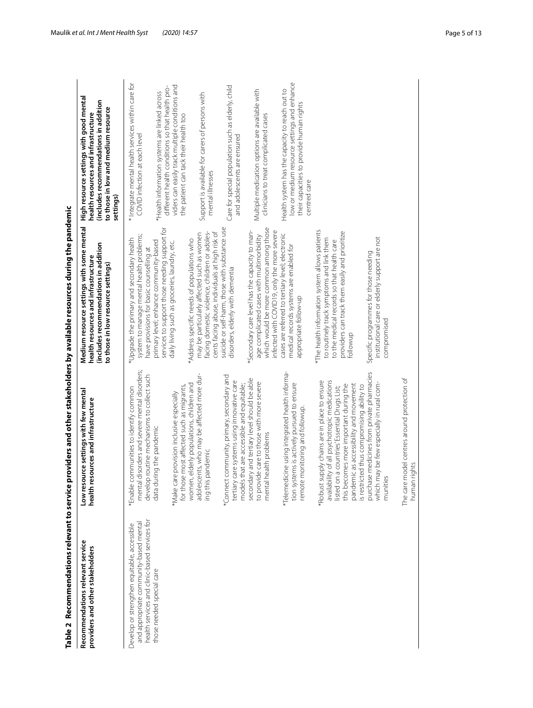<span id="page-4-0"></span>

| Recommendations relevant service<br>providers and other stakeholders                                                                   | irce settings with few mental<br>health resources and infrastructure<br>Low resou                                                                                                                                                | Medium resource settings with some mental<br>health resources and infrastructure                                                                                                                        | High resource settings with good mental<br>health resources and infrastructure                                                                            |
|----------------------------------------------------------------------------------------------------------------------------------------|----------------------------------------------------------------------------------------------------------------------------------------------------------------------------------------------------------------------------------|---------------------------------------------------------------------------------------------------------------------------------------------------------------------------------------------------------|-----------------------------------------------------------------------------------------------------------------------------------------------------------|
|                                                                                                                                        |                                                                                                                                                                                                                                  | (includes recommendations in addition<br>to those in low resource settings)                                                                                                                             | (includes recommendations in addition<br>to those in low and medium resource<br>settings)                                                                 |
| health services and clinic-based services for<br>and appropriate community-based mental<br>Develop or strengthen equitable, accessible | mental disorders and severe mental disorders;<br>develop routine mechanisms to collect such<br>*Enable communities to identify common                                                                                            | system to manage mental health problems;<br>*Upqrade the primary and secondary health<br>have provisions for basic counselling at                                                                       | * Integrate mental health services within care for<br>COVID infection at each level                                                                       |
| those needed special care                                                                                                              | data during the pandemic                                                                                                                                                                                                         | services to support those needing support for<br>primary level; enhance community-based                                                                                                                 | different health conditions so that health pro-<br>*Health information systems are linked across                                                          |
|                                                                                                                                        | most affected such as migrants,<br>provision inclusive especially<br>*Make care<br>for those                                                                                                                                     | daily living such as groceries, laundry, etc.                                                                                                                                                           | viders can easily track multiple conditions and<br>the patient can tack their health too                                                                  |
|                                                                                                                                        | adolescents, who may be affected more dur-<br>women, elderly populations, children and                                                                                                                                           | may be particularly affected such as women<br>*Address specific needs of populations who                                                                                                                |                                                                                                                                                           |
|                                                                                                                                        | ing this pandemic                                                                                                                                                                                                                | facing domestic violence, children or adoles-<br>cents facing abuse, individuals at high risk of                                                                                                        | Support is available for carers of persons with<br>mental illnesses                                                                                       |
|                                                                                                                                        | *Connect community, primary, secondary and<br>tertiary care systems using innovative care<br>models that are accessible and equitable;                                                                                           | suicide or self-harm, those with substance use<br>disorders, elderly with dementia                                                                                                                      | Care for special population such as elderly, child<br>and adolescents are ensured                                                                         |
|                                                                                                                                        | secondary and tertiary level should be able<br>to provide care to those with more severe                                                                                                                                         | 'Secondary care level has the capacity to man-<br>age complicated cases with multimorbidity                                                                                                             | Multiple medication options are available with                                                                                                            |
|                                                                                                                                        | mental health problems                                                                                                                                                                                                           | which would be more common among those<br>infected with COVID19, only the more severe                                                                                                                   | clinicians to treat complicated cases                                                                                                                     |
|                                                                                                                                        | *Telemedicine using integrated health informa-<br>tion systems is actively pursued to ensure<br>remote monitoring and followup.                                                                                                  | cases are referred to tertiary level; electronic<br>medical records systems are enabled for<br>appropriate follow-up                                                                                    | low or medium resource settings and enhance<br>Health system has the capacity to reach out to<br>their capacities to provide human rights<br>centred care |
|                                                                                                                                        | *Robust supply chains are in place to ensure<br>availability of all psychotropic medications<br>pandemic as accessibility and movement<br>this becomes more important during the<br>listed on a countries' Essential Drugs List; | *The health information system allows patients<br>providers can track them easily and prioritize<br>to routinely track symptoms and link them<br>to the medical records so that health care<br>followup |                                                                                                                                                           |
|                                                                                                                                        | purchase medicines from private pharmacies<br>which may be few especially in rural com-<br>is restricted thus compromising ability to<br>munities                                                                                | institutional care or elderly support are not<br>Specific programmes for those needing<br>compromised                                                                                                   |                                                                                                                                                           |
|                                                                                                                                        | The care model centres around protection of<br>human rights                                                                                                                                                                      |                                                                                                                                                                                                         |                                                                                                                                                           |

Maulik *et al. Int J Ment Health Syst (2020) 14:57* Page 5 of 13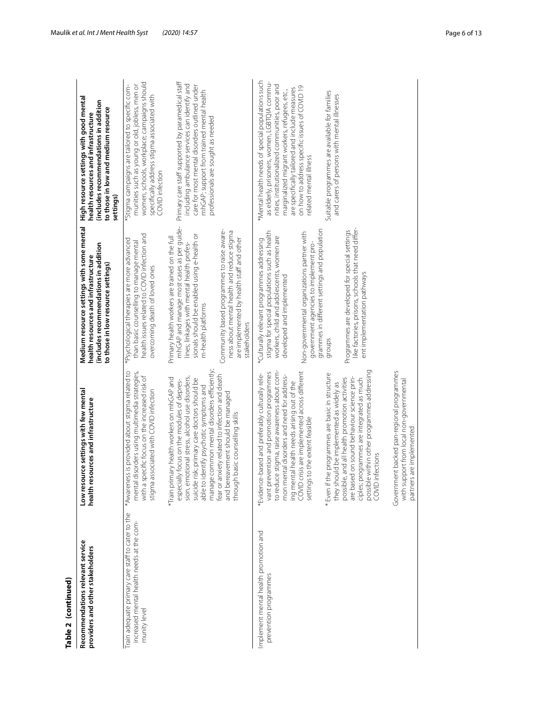| Table 2 (continued)                                                                                            |                                                                                                                                                                                                                                                                                      |                                                                                                                                                                                                                |                                                                                                                                                                                                                                                        |
|----------------------------------------------------------------------------------------------------------------|--------------------------------------------------------------------------------------------------------------------------------------------------------------------------------------------------------------------------------------------------------------------------------------|----------------------------------------------------------------------------------------------------------------------------------------------------------------------------------------------------------------|--------------------------------------------------------------------------------------------------------------------------------------------------------------------------------------------------------------------------------------------------------|
| Recommendations relevant service<br>providers and other stakeholders                                           | Low resource settings with few mental<br>health resources and infrastructure                                                                                                                                                                                                         | Medium resource settings with some mental<br>(includes recommendations in addition<br>health resources and infrastructure<br>to those in low resource settings)                                                | High resource settings with good mental<br>(includes recommendations in addition<br>to those in low and medium resource<br>health resources and infrastructure<br>settings)                                                                            |
| Train adequate primary care staff to cater to the<br>increased mental health needs at the com-<br>munity level | *Awareness is provided about stigma related to<br>mental disorders using multimedia strategies,<br>with a specific focus on the increased risk of<br>stigma associated with COVID infection                                                                                          | health issues related to COVID infection and<br>*Psychological therapies are more advanced<br>than basic counselling to manage mental<br>overcoming death of loved ones                                        | women, schools, workplace; campaigns should<br>munities such as young or old, jobless, men or<br>*Stigma campaigns are tailored to specific com-<br>specifically address stigma associated with<br>COVID infection                                     |
|                                                                                                                | manage common mental disorders efficiently;<br>sion, emotional stress, alcohol use disorders,<br>*Train primary health workers on mhGAP and<br>suicide risk; primary care doctors should be<br>especially focus on the modules of depres-<br>able to identify psychotic symptoms and | mhGAP and manage most cases as per guide-<br>sionals should be enabled using e-health or<br>Primary health workers are trained on the full<br>lines; linkages with mental health profes-<br>m-health platforms | Primary care staff supported by paramedical staff<br>including ambulance services can identify and<br>care for most mental disorders outlined under<br>mhGAP; support from trained mental health<br>professionals are sought as needed                 |
|                                                                                                                | fear or anxiety related to infection and death<br>and bereavement should be managed<br>through basic counselling skills                                                                                                                                                              | Community based programmes to raise aware-<br>ness about mental health and reduce stigma<br>are implemented by health staff and other<br>stakeholders                                                          |                                                                                                                                                                                                                                                        |
| mplement mental health promotion and<br>prevention programmes                                                  | to reduce stigma, raise awareness about com-<br>vant prevention and promotion programmes<br>*Evidence-based and preferably culturally rele-<br>mon mental disorders and need for address-<br>ing mental health needs arising out of the                                              | stigma for special populations such as health<br>workers, child and adolescents, women are<br>*Culturally relevant programmes addressing<br>developed and implemented                                          | *Mental health needs of special populations such<br>as elderly, prisoners, women, LGBTQIA commu-<br>nities, institutionalized communities, poor and<br>are specifically tailored and include measures<br>marginalized migrant workers, refugees, etc., |
|                                                                                                                | crisis are implemented across different<br>* Even if the programmes are basic in structure<br>settings to the extent feasible<br>COVID.                                                                                                                                              | grammes in different settings and population<br>Non-governmental organizations partner with<br>government agencies to implement pro-<br>groups                                                                 | on how to address specific issues of COVID 19<br>Suitable programmes are available for families<br>related mental illness                                                                                                                              |
|                                                                                                                | possible within other programmes addressing<br>are based on sound behaviour science prin-<br>possible, and all health promotion activities<br>ciples; programmes are integrated as much<br>they should be implemented as widely as<br>infections<br>COVID                            | like factories, prisons, schools that need differ-<br>Programmes are developed for special settings<br>ent implementation pathways                                                                             | and carers of persons with mental illnesses                                                                                                                                                                                                            |
|                                                                                                                | Government backed pan-regional programmes<br>with support from local non-governmental<br>partners are implemented                                                                                                                                                                    |                                                                                                                                                                                                                |                                                                                                                                                                                                                                                        |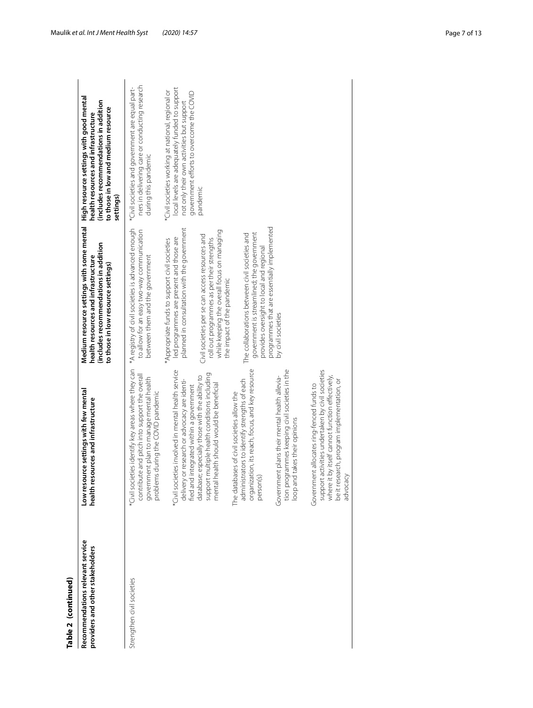| Table 2 (continued)                                                  |                                                                                                                                                                                                            |                                                                                                                                                                            |                                                                                                                                                                                             |
|----------------------------------------------------------------------|------------------------------------------------------------------------------------------------------------------------------------------------------------------------------------------------------------|----------------------------------------------------------------------------------------------------------------------------------------------------------------------------|---------------------------------------------------------------------------------------------------------------------------------------------------------------------------------------------|
| Recommendations relevant service<br>providers and other stakeholders | Low resource settings with few mental<br>health resources and infrastructure                                                                                                                               | Medium resource settings with some mental<br>(includes recommendations in addition<br>health resources and infrastructure<br>to those in low resource settings)            | High resource settings with good mental<br>(includes recommendations in addition<br>to those in low and medium resource<br>health resources and infrastructure<br>settings)                 |
| Strengthen civil societies                                           | *Civil societies identify key areas where they can<br>contribute and pitch into support the overall<br>government plan to manage mental health<br>problems during the COVID pandemic                       | *A registry of civil societies is advanced enough<br>to allow for an easy two-way communication<br>between them and the government                                         | ners in delivering care or conducting research<br>*Civil societies and government are equal part-<br>during this pandemic                                                                   |
|                                                                      | *Civil societies involved in mental health service<br>delivery or research or advocacy are identi-<br>fied and integrated within a government                                                              | planned in consultation with the government<br>led programmes are present and those are<br>*Appropriate funds to support civil societies                                   | local levels are adequately funded to support<br>*Civil societies working at national, regional or<br>government efforts to overcome the COVID<br>not only their own activities but support |
|                                                                      | support multiple health conditions including<br>database; especially those with the ability to<br>mental health should would be beneficial                                                                 | while keeping the overall focus on managing<br>Civil societies per se can access resources and<br>roll out programmes as per their strengths<br>the impact of the pandemic | pandemic                                                                                                                                                                                    |
|                                                                      | organization, its reach, focus, and key resource<br>administrators to identify strengths of each<br>The databases of civil societies allow the<br>person(s)                                                | government is streamlined; the government<br>The collaborations between civil societies and<br>provides oversight to local and regional                                    |                                                                                                                                                                                             |
|                                                                      | tion programmes keeping civil societies in the<br>Government plans their mental health allevia-<br>takes their opinions<br>loop and                                                                        | programmes that are essentially implemented<br>by civil societies                                                                                                          |                                                                                                                                                                                             |
|                                                                      | support activities undertaken by civil societies<br>where it by itself cannot function effectively,<br>be it research, program implementation, or<br>Government allocates ring-fenced funds to<br>advocacy |                                                                                                                                                                            |                                                                                                                                                                                             |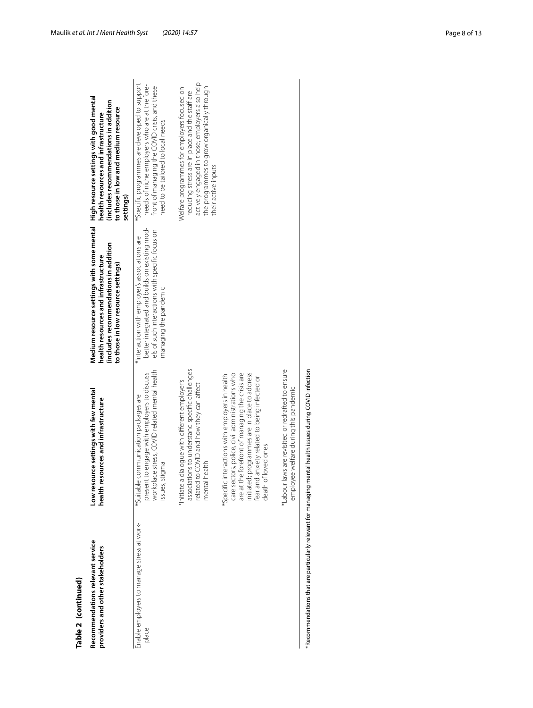| r |
|---|
|   |
|   |
|   |

| Table 2 (continued)                                                  |                                                                                                                                                                                                                                                                                   |                                                                                                                                                                            |                                                                                                                                                                                                                      |
|----------------------------------------------------------------------|-----------------------------------------------------------------------------------------------------------------------------------------------------------------------------------------------------------------------------------------------------------------------------------|----------------------------------------------------------------------------------------------------------------------------------------------------------------------------|----------------------------------------------------------------------------------------------------------------------------------------------------------------------------------------------------------------------|
| Recommendations relevant service<br>providers and other stakeholders | Low resource settings with few mental<br>health resources and infrastructure                                                                                                                                                                                                      | Medium resource settings with some mental<br>(includes recommendations in addition<br>health resources and infrastructure<br>to those in low resource settings)            | High resource settings with good mental<br>(includes recommendations in addition<br>to those in low and medium resource<br>health resources and infrastructure<br>settings)                                          |
| Enable employers to manage stress at work-<br>place                  | workplace stress, COVID related mental health<br>present to engage with employers to discuss<br>*Suitable communication packages are<br>tigma<br>issues, st                                                                                                                       | better integrated and builds on existing mod-<br>els of such interactions with specific focus on<br>*Interaction with employer's associations are<br>managing the pandemic | *Specific programmes are developed to support<br>needs of niche employers who are at the fore-<br>front of managing the COVID crisis, and these<br>need to be tailored to local needs                                |
|                                                                      | associations to understand specific challenges<br>*Initiate a dialogue with different employer's<br>related to COVID and how they can affect<br>nealth<br>mental h                                                                                                                |                                                                                                                                                                            | actively engaged in those; employers also help<br>the programmes to grow organically through<br>Welfare programmes for employers focused on<br>reducing stress are in place and the staff are<br>their active inputs |
|                                                                      | are at the forefront of managing the crisis are<br>initiated; programmes are in place to address<br>care sectors, police, civil administrations who<br>*Specific interactions with employers in health<br>fear and anxiety related to being infected or<br>loved ones<br>death of |                                                                                                                                                                            |                                                                                                                                                                                                                      |
|                                                                      | *Labour laws are revisited or redrafted to ensure<br>employee welfare during this pandemic                                                                                                                                                                                        |                                                                                                                                                                            |                                                                                                                                                                                                                      |
|                                                                      | *Recommendations that are particularly relevant for managing mental health issues during COVID infection                                                                                                                                                                          |                                                                                                                                                                            |                                                                                                                                                                                                                      |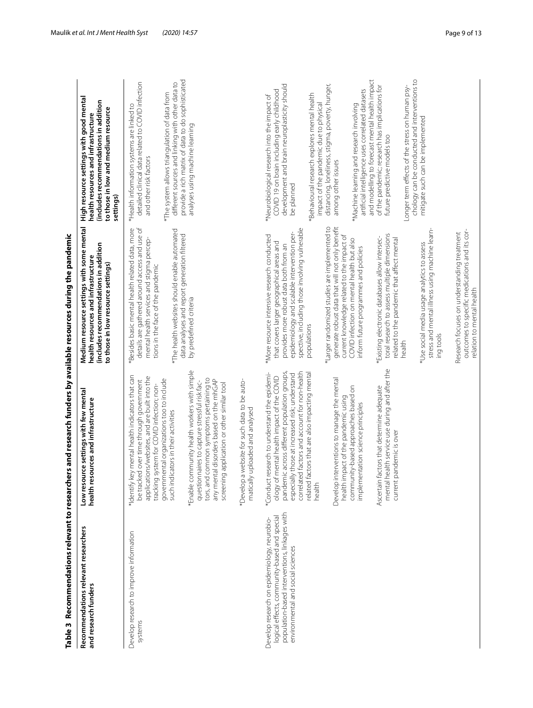<span id="page-8-0"></span>

|                                                                                                                                                                                   | Table 3 Recommendations relevant to researchers and research funders by available resources during the pandemic                                                                                                                                                              |                                                                                                                                                                                                                                     |                                                                                                                                                                                                                               |
|-----------------------------------------------------------------------------------------------------------------------------------------------------------------------------------|------------------------------------------------------------------------------------------------------------------------------------------------------------------------------------------------------------------------------------------------------------------------------|-------------------------------------------------------------------------------------------------------------------------------------------------------------------------------------------------------------------------------------|-------------------------------------------------------------------------------------------------------------------------------------------------------------------------------------------------------------------------------|
| Recommendations relevant researchers<br>and research funders                                                                                                                      | Low resource settings with few mental<br>health resources and infrastructure                                                                                                                                                                                                 | Medium resource settings with some mental<br>(includes recommendations in addition<br>health resources and infrastructure<br>to those in low resource settings)                                                                     | High resource settings with good mental<br>(includes recommendations in addition<br>to those in low and medium resource<br>health resources and infrastructure<br>settings)                                                   |
| Develop research to improve information<br>systems                                                                                                                                | *Identify key mental health indicators that can<br>applications/websites, and are built into the<br>governmental organizations too to include<br>be tracked over time through government<br>tracking system for COVID infection; non-<br>such indicators in their activities | details are gathered around access and use of<br>*Besides basic mental health related data, more<br>*The health websites should enable automated<br>mental health services and stigma percep-<br>tions in the face of the pandemic  | detailed clinical data related to COVID infection<br>different sources and linking with other data to<br>*The system allows triangulation of data from<br>*Health information systems are linked to<br>and other risk factors |
|                                                                                                                                                                                   | *Enable community health workers with simple<br>tors, and common symptoms pertaining to<br>any mental disorders based on the mhGAP<br>questionnaires to capture stressful risk fac-<br>screening application or other similar tool                                           | data analyses and report generation filtered<br>by predefined criteria                                                                                                                                                              | provide a rich matrix of data to do sophisticated<br>analyses using machine learning                                                                                                                                          |
|                                                                                                                                                                                   | a website for such data to be auto-<br>matically uploaded and analysed<br>*Develop                                                                                                                                                                                           |                                                                                                                                                                                                                                     |                                                                                                                                                                                                                               |
| population-based interventions, linkages with<br>logical effects, community-based and special<br>Develop research on epidemiology, neurobio-<br>environmental and social sciences | pandemic across different population groups,<br>correlated factors and account for non-health<br>*Conduct research to understand the epidemi-<br>especially those at increased risk; understand<br>mental health impact of the COVID<br>ology of                             | spective, including those involving vulnerable<br>epidemiology and scalable intervention per-<br>*More resource intensive research conducted<br>that covers larger geographical areas and<br>provides more robust data both from an | development and brain neuroplasticity should<br>COVID 19 on brain including early childhood<br>*Neurobiological research into the impact of<br>be planned                                                                     |
|                                                                                                                                                                                   | related factors that are also impacting mental<br>health                                                                                                                                                                                                                     | populations                                                                                                                                                                                                                         | Behavioural research explores mental health<br>impact of the pandemic due to physical                                                                                                                                         |
|                                                                                                                                                                                   | Develop interventions to manage the mental<br>community-based approaches based on<br>health impact of the pandemic using                                                                                                                                                     | generate robust data that will not only benefit<br>*Larger randomized studies are implemented to<br>current knowledge related to the impact of<br>COVID infection on mental health but also                                         | distancing, loneliness, stigma, poverty, hunger,<br>among other issues                                                                                                                                                        |
|                                                                                                                                                                                   | implementation science principles                                                                                                                                                                                                                                            | inform future programmes and policies                                                                                                                                                                                               | and modelling to forecast mental health impact<br>artificial intelligence uses correlated datasets<br>*Machine learning and research involving                                                                                |
|                                                                                                                                                                                   | mental health service use during and after the<br>Ascertain factors that determine adequate<br>current pandemic is over                                                                                                                                                      | toral research to assess multiple dimensions<br>Existing electronic databases allow intersec-<br>related to the pandemic that affect mental                                                                                         | of the pandemic; research has implications for<br>future predictive models too                                                                                                                                                |
|                                                                                                                                                                                   |                                                                                                                                                                                                                                                                              | stress and mental illness using machine learn-<br>*Use social media usage analytics to assess<br>ing tools<br>health                                                                                                                | chology can be conducted and interventions to<br>Longer term effects of the stress on human psy-<br>mitigate such can be implemented                                                                                          |
|                                                                                                                                                                                   |                                                                                                                                                                                                                                                                              | outcomes to specific medications and its cor-<br>Research focuses on understanding treatment<br>relation to mental health                                                                                                           |                                                                                                                                                                                                                               |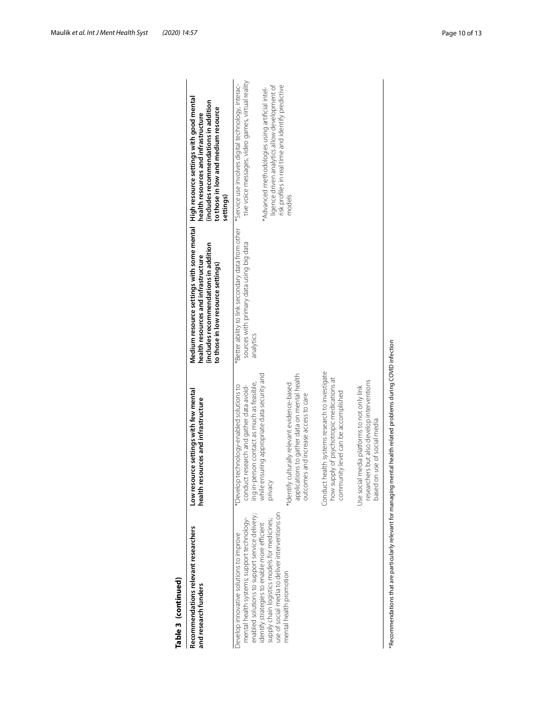| Table 3 (continued)                                                                                                                                                                                                                     |                                                                                                                                                                                              |                                                                                                                                                                                                         |                                                                                                                                                                                                             |
|-----------------------------------------------------------------------------------------------------------------------------------------------------------------------------------------------------------------------------------------|----------------------------------------------------------------------------------------------------------------------------------------------------------------------------------------------|---------------------------------------------------------------------------------------------------------------------------------------------------------------------------------------------------------|-------------------------------------------------------------------------------------------------------------------------------------------------------------------------------------------------------------|
| Recommendations relevant researchers<br>and research funders                                                                                                                                                                            | Low resource settings with few mental<br>resources and infrastructure<br>healthı                                                                                                             | Medium resource settings with some mental High resource settings with good mental<br>(includes recommendations in addition<br>health resources and infrastructure<br>to those in low resource settings) | (includes recommendations in addition<br>to those in low and medium resource<br>health resources and infrastructure<br>settings)                                                                            |
| enabled solutions to support service delivery;<br>mental health systems; support technology-<br>supply chain logistics models for medicines;<br>identify strategies to enable more efficient<br>Develop innovative solutions to improve | while ensuring appropriate data security and<br>ing in-person contact as much as feasible,<br>*Develop technology-enabled solutions to<br>conduct research and gather data avoid-<br>privacy | *Better ability to link secondary data from other<br>sources with primary data using big data<br>analytics                                                                                              | tive voice messages, video games, virtual reality<br>*Service use involves digital technology, interac-<br>ligence driven analytics allow development of<br>*Advanced methodologies using artificial intel- |
| use of social media to deliver interventions on<br>mental health promotion                                                                                                                                                              | applications to gather data on mental health<br>culturally relevant evidence-based<br>outcomes and increase access to care<br>*Identify                                                      |                                                                                                                                                                                                         | risk profiles in real time and identify predictive<br>models                                                                                                                                                |
|                                                                                                                                                                                                                                         | Conduct health systems research to investigate<br>how supply of psychotropic medications at<br>community level can be accomplished                                                           |                                                                                                                                                                                                         |                                                                                                                                                                                                             |
|                                                                                                                                                                                                                                         | researchers but also develop interventions<br>Use social media platforms to not only link<br>based on use of social media                                                                    |                                                                                                                                                                                                         |                                                                                                                                                                                                             |
|                                                                                                                                                                                                                                         | *Recommendations that are particularly relevant for managing mental health related problems during COVID infection                                                                           |                                                                                                                                                                                                         |                                                                                                                                                                                                             |

Maulik *et al. Int J Ment Health Syst (2020) 14:57* Page 10 of 13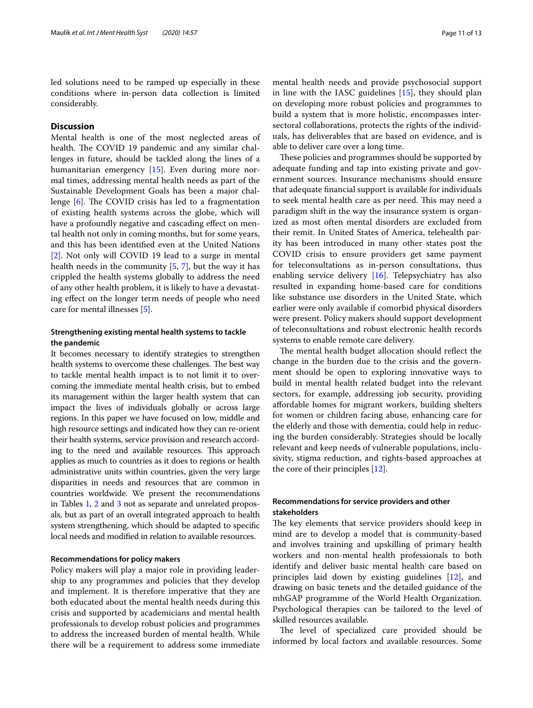led solutions need to be ramped up especially in these conditions where in-person data collection is limited considerably.

# **Discussion**

Mental health is one of the most neglected areas of health. The COVID 19 pandemic and any similar challenges in future, should be tackled along the lines of a humanitarian emergency [[15\]](#page-12-12). Even during more normal times, addressing mental health needs as part of the Sustainable Development Goals has been a major challenge  $[6]$  $[6]$ . The COVID crisis has led to a fragmentation of existing health systems across the globe, which will have a profoundly negative and cascading efect on mental health not only in coming months, but for some years, and this has been identifed even at the United Nations [[2\]](#page-12-13). Not only will COVID 19 lead to a surge in mental health needs in the community [[5](#page-12-2), [7\]](#page-12-4), but the way it has crippled the health systems globally to address the need of any other health problem, it is likely to have a devastating efect on the longer term needs of people who need care for mental illnesses [\[5](#page-12-2)].

## **Strengthening existing mental health systems to tackle the pandemic**

It becomes necessary to identify strategies to strengthen health systems to overcome these challenges. The best way to tackle mental health impact is to not limit it to overcoming the immediate mental health crisis, but to embed its management within the larger health system that can impact the lives of individuals globally or across large regions. In this paper we have focused on low, middle and high resource settings and indicated how they can re-orient their health systems, service provision and research according to the need and available resources. This approach applies as much to countries as it does to regions or health administrative units within countries, given the very large disparities in needs and resources that are common in countries worldwide. We present the recommendations in Tables [1](#page-2-0), [2](#page-4-0) and [3](#page-8-0) not as separate and unrelated proposals, but as part of an overall integrated approach to health system strengthening, which should be adapted to specifc local needs and modifed in relation to available resources.

#### **Recommendations for policy makers**

Policy makers will play a major role in providing leadership to any programmes and policies that they develop and implement. It is therefore imperative that they are both educated about the mental health needs during this crisis and supported by academicians and mental health professionals to develop robust policies and programmes to address the increased burden of mental health. While there will be a requirement to address some immediate mental health needs and provide psychosocial support in line with the IASC guidelines [[15\]](#page-12-12), they should plan on developing more robust policies and programmes to build a system that is more holistic, encompasses intersectoral collaborations, protects the rights of the individuals, has deliverables that are based on evidence, and is able to deliver care over a long time.

These policies and programmes should be supported by adequate funding and tap into existing private and government sources. Insurance mechanisms should ensure that adequate fnancial support is available for individuals to seek mental health care as per need. This may need a paradigm shift in the way the insurance system is organized as most often mental disorders are excluded from their remit. In United States of America, telehealth parity has been introduced in many other states post the COVID crisis to ensure providers get same payment for teleconsultations as in-person consultations, thus enabling service delivery  $[16]$  $[16]$ . Telepsychiatry has also resulted in expanding home-based care for conditions like substance use disorders in the United State, which earlier were only available if comorbid physical disorders were present. Policy makers should support development of teleconsultations and robust electronic health records systems to enable remote care delivery.

The mental health budget allocation should reflect the change in the burden due to the crisis and the government should be open to exploring innovative ways to build in mental health related budget into the relevant sectors, for example, addressing job security, providing afordable homes for migrant workers, building shelters for women or children facing abuse, enhancing care for the elderly and those with dementia, could help in reducing the burden considerably. Strategies should be locally relevant and keep needs of vulnerable populations, inclusivity, stigma reduction, and rights-based approaches at the core of their principles [\[12\]](#page-12-9).

# **Recommendations for service providers and other stakeholders**

The key elements that service providers should keep in mind are to develop a model that is community-based and involves training and upskilling of primary health workers and non-mental health professionals to both identify and deliver basic mental health care based on principles laid down by existing guidelines [[12](#page-12-9)], and drawing on basic tenets and the detailed guidance of the mhGAP programme of the World Health Organization. Psychological therapies can be tailored to the level of skilled resources available.

The level of specialized care provided should be informed by local factors and available resources. Some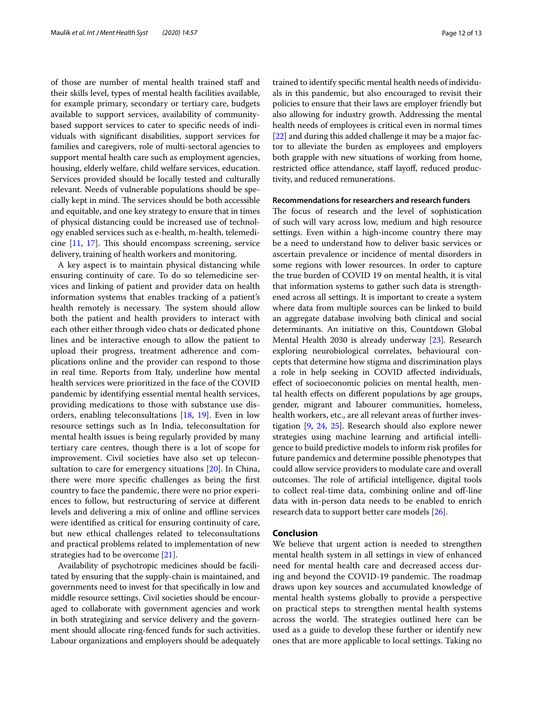of those are number of mental health trained staf and their skills level, types of mental health facilities available, for example primary, secondary or tertiary care, budgets available to support services, availability of communitybased support services to cater to specifc needs of individuals with signifcant disabilities, support services for families and caregivers, role of multi-sectoral agencies to support mental health care such as employment agencies, housing, elderly welfare, child welfare services, education. Services provided should be locally tested and culturally relevant. Needs of vulnerable populations should be specially kept in mind. The services should be both accessible and equitable, and one key strategy to ensure that in times of physical distancing could be increased use of technology enabled services such as e-health, m-health, telemedicine  $[11, 17]$  $[11, 17]$  $[11, 17]$  $[11, 17]$  $[11, 17]$ . This should encompass screening, service delivery, training of health workers and monitoring.

A key aspect is to maintain physical distancing while ensuring continuity of care. To do so telemedicine services and linking of patient and provider data on health information systems that enables tracking of a patient's health remotely is necessary. The system should allow both the patient and health providers to interact with each other either through video chats or dedicated phone lines and be interactive enough to allow the patient to upload their progress, treatment adherence and complications online and the provider can respond to those in real time. Reports from Italy, underline how mental health services were prioritized in the face of the COVID pandemic by identifying essential mental health services, providing medications to those with substance use disorders, enabling teleconsultations [[18,](#page-12-16) [19\]](#page-12-17). Even in low resource settings such as In India, teleconsultation for mental health issues is being regularly provided by many tertiary care centres, though there is a lot of scope for improvement. Civil societies have also set up teleconsultation to care for emergency situations [[20\]](#page-12-18). In China, there were more specifc challenges as being the frst country to face the pandemic, there were no prior experiences to follow, but restructuring of service at diferent levels and delivering a mix of online and offline services were identifed as critical for ensuring continuity of care, but new ethical challenges related to teleconsultations and practical problems related to implementation of new strategies had to be overcome [\[21](#page-12-19)].

Availability of psychotropic medicines should be facilitated by ensuring that the supply-chain is maintained, and governments need to invest for that specifcally in low and middle resource settings. Civil societies should be encouraged to collaborate with government agencies and work in both strategizing and service delivery and the government should allocate ring-fenced funds for such activities. Labour organizations and employers should be adequately trained to identify specifc mental health needs of individuals in this pandemic, but also encouraged to revisit their policies to ensure that their laws are employer friendly but also allowing for industry growth. Addressing the mental health needs of employees is critical even in normal times [[22](#page-12-20)] and during this added challenge it may be a major factor to alleviate the burden as employees and employers both grapple with new situations of working from home, restricted office attendance, staff layoff, reduced productivity, and reduced remunerations.

### **Recommendations for researchers and research funders**

The focus of research and the level of sophistication of such will vary across low, medium and high resource settings. Even within a high-income country there may be a need to understand how to deliver basic services or ascertain prevalence or incidence of mental disorders in some regions with lower resources. In order to capture the true burden of COVID 19 on mental health, it is vital that information systems to gather such data is strengthened across all settings. It is important to create a system where data from multiple sources can be linked to build an aggregate database involving both clinical and social determinants. An initiative on this, Countdown Global Mental Health 2030 is already underway [\[23\]](#page-12-21). Research exploring neurobiological correlates, behavioural concepts that determine how stigma and discrimination plays a role in help seeking in COVID afected individuals, efect of socioeconomic policies on mental health, mental health efects on diferent populations by age groups, gender, migrant and labourer communities, homeless, health workers, etc., are all relevant areas of further investigation [[9,](#page-12-6) [24,](#page-12-22) [25](#page-12-23)]. Research should also explore newer strategies using machine learning and artifcial intelligence to build predictive models to inform risk profles for future pandemics and determine possible phenotypes that could allow service providers to modulate care and overall outcomes. The role of artificial intelligence, digital tools to collect real-time data, combining online and of-line data with in-person data needs to be enabled to enrich research data to support better care models [\[26](#page-12-24)].

### **Conclusion**

We believe that urgent action is needed to strengthen mental health system in all settings in view of enhanced need for mental health care and decreased access during and beyond the COVID-19 pandemic. The roadmap draws upon key sources and accumulated knowledge of mental health systems globally to provide a perspective on practical steps to strengthen mental health systems across the world. The strategies outlined here can be used as a guide to develop these further or identify new ones that are more applicable to local settings. Taking no